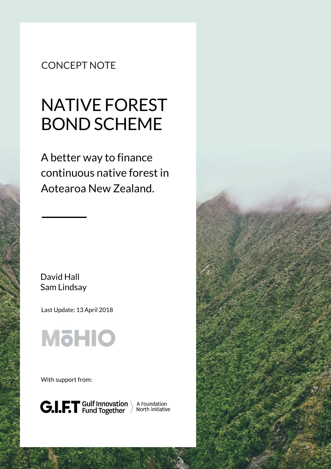## CONCEPT NOTE

# NATIVE FOREST BOND SCHEME

A better way to finance continuous native forest in Aotearoa New Zealand.

David Hall Sam Lindsay

Last Update: 13 April 2018



With support from:



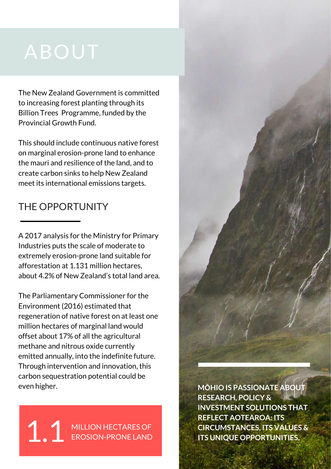The New Zealand Government is committed to increasing forest planting through its Billion Trees Programme, funded by the Provincial Growth Fund.

This should include continuous native forest on marginal erosion-prone land to enhance the mauri and resilience of the land, and to create carbon sinks to help New Zealand meet its international emissions targets.

## THE OPPORTUNITY

A 2017 analysis for the Ministry for Primary Industries puts the scale of moderate to extremely erosion-prone land suitable for afforestation at 1.131 million hectares, about 4.2% of New Zealand's total land area.

The Parliamentary Commissioner for the Environment (2016) estimated that regeneration of native forest on at least one million hectares of marginal land would offset about 17% of all the agricultural methane and nitrous oxide currently emitted annually, into the indefinite future. Through intervention and innovation, this carbon sequestration potential could be even higher.

1.1 MILLION HECTARES OF EROSION-PRONE LAND **MOHIO IS PASSIONATE ABOUT RESEARCH, POLICY & INVESTMENT SOLUTIONS THAT REFLECT AOTEAROA: ITS CIRCUMSTANCES, ITS VALUES & ITS UNIQUE OPPORTUNITIES.**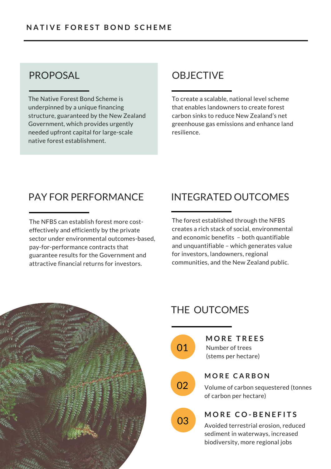The Native Forest Bond Scheme is underpinned by a unique financing structure, guaranteed by the New Zealand Government, which provides urgently needed upfront capital for large-scale native forest establishment.

## PROPOSAL OBJECTIVE

To create a scalable, national level scheme that enables landowners to create forest carbon sinks to reduce New Zealand's net greenhouse gas emissions and enhance land resilience.

## PAY FOR PERFORMANCE

The NFBS can establish forest more costeffectively and efficiently by the private sector under environmental outcomes-based, pay-for-performance contracts that guarantee results for the Government and attractive financial returns for investors.

## INTEGRATED OUTCOMES

The forest established through the NFBS creates a rich stack of social, environmental and economic benefits – both quantifiable and unquantifiable – which generates value for investors, landowners, regional communities, and the New Zealand public.



## THE OUTCOMES



**01** Number of trees (stems per hectare) **M O R E T R E E S**

#### **M O R E C A R B O N**

**02** Volume of carbon sequestered (tonnes of carbon per hectare)



### **M O R E C O - B E N E F I T S**

03 Avoided terrestrial erosion, reduced sediment in waterways, increased biodiversity, more regional jobs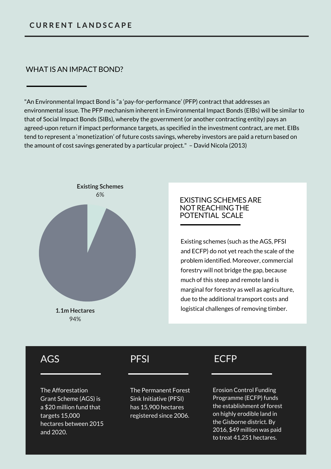#### WHAT IS AN IMPACT BOND?

"An Environmental Impact Bond is "a 'pay-for-performance' (PFP) contract that addresses an environmental issue. The PFP mechanism inherent in Environmental Impact Bonds (EIBs) will be similar to that of Social Impact Bonds (SIBs), whereby the government (or another contracting entity) pays an agreed-upon return if impact performance targets, as specified in the investment contract, are met. EIBs tend to represent a 'monetization' of future costs savings, whereby investors are paid a return based on the amount of cost savings generated by a particular project." – David Nicola (2013)



#### EXISTING SCHEMES ARE NOT REACHING THE POTENTIAL SCALE

Existing schemes (such as the AGS, PFSI and ECFP) do not yet reach the scale of the problem identified. Moreover, commercial forestry will not bridge the gap, because much of this steep and remote land is marginal for forestry as well as agriculture, due to the additional transport costs and logistical challenges of removing timber.

## AGS

The Afforestation Grant Scheme (AGS) is a \$20 million fund that targets 15,000 hectares between 2015 and 2020.

## PFSI

The Permanent Forest Sink Initiative (PFSI) has 15,900 hectares registered since 2006.

## **FCFP**

Erosion Control Funding Programme (ECFP) funds the establishment of forest on highly erodible land in the Gisborne district. By 2016, \$49 million was paid to treat 41,251 hectares.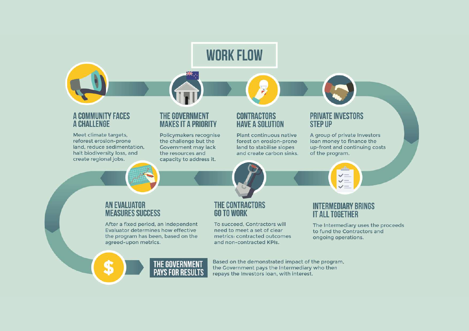

and non-contracted KPIs.

Based on the demonstrated impact of the program,

the Government pays the Intermediary who then

repays the Investors loan, with interest.

agreed-upon metrics.

THE GOVERNMENT

**PAYS FOR RESULTS** 

ongoing operations.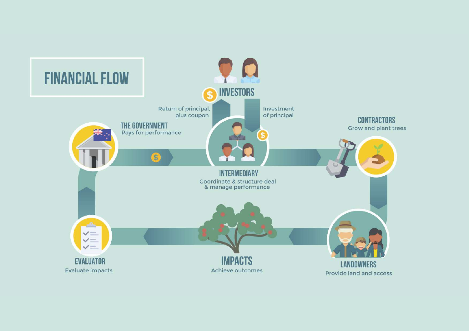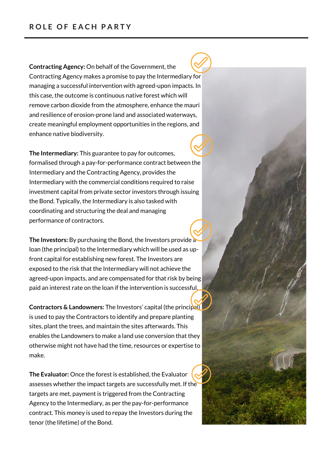**Contracting Agency:** On behalf of the Government, the Contracting Agency makes a promise to pay the Intermediary for managing a successful intervention with agreed-upon impacts. In this case, the outcome is continuous native forest which will remove carbon dioxide from the atmosphere, enhance the mauri and resilience of erosion-prone land and associated waterways, create meaningful employment opportunities in the regions, and enhance native biodiversity.

**The Intermediary:** This guarantee to pay for outcomes, formalised through a pay-for-performance contract between the Intermediary and the Contracting Agency, provides the Intermediary with the commercial conditions required to raise investment capital from private sector investors through issuing the Bond. Typically, the Intermediary is also tasked with coordinating and structuring the deal and managing performance of contractors.

**The Investors:** By purchasing the Bond, the Investors provide a loan (the principal) to the Intermediary which will be used as upfront capital for establishing new forest. The Investors are exposed to the risk that the Intermediary will not achieve the agreed-upon impacts, and are compensated for that risk by being paid an interest rate on the loan if the intervention is successful.

**Contractors & Landowners:** The Investors' capital (the principal) is used to pay the Contractors to identify and prepare planting sites, plant the trees, and maintain the sites afterwards. This enables the Landowners to make a land use conversion that they otherwise might not have had the time, resources or expertise to make.

**The Evaluator:** Once the forest is established, the Evaluator assesses whether the impact targets are successfully met. If the targets are met, payment is triggered from the Contracting Agency to the Intermediary, as per the pay-for-performance contract. This money is used to repay the Investors during the tenor (the lifetime) of the Bond.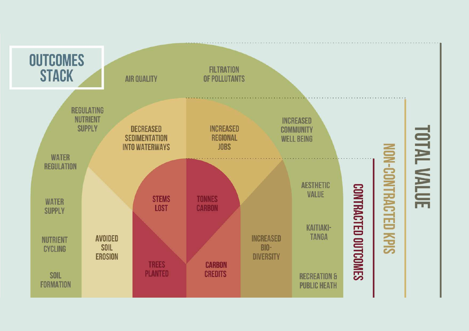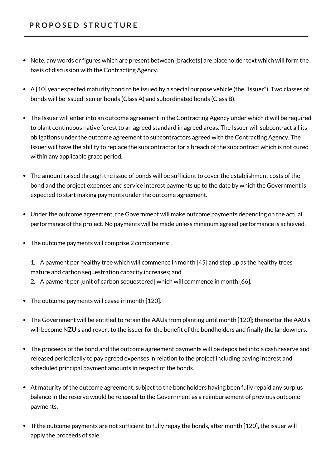- Note, any words or figures which are present between [brackets] are placeholder text which will form the basis of discussion with the Contracting Agency.
- A [10] year expected maturity bond to be issued by a special purpose vehicle (the "Issuer"). Two classes of bonds will be issued: senior bonds (Class A) and subordinated bonds (Class B).
- The Issuer will enter into an outcome agreement in the Contracting Agency under which it will be required to plant continuous native forest to an agreed standard in agreed areas. The Issuer will subcontract all its obligations under the outcome agreement to subcontractors agreed with the Contracting Agency. The Issuer will have the ability to replace the subcontractor for a breach of the subcontract which is not cured within any applicable grace period.
- The amount raised through the issue of bonds will be sufficient to cover the establishment costs of the bond and the project expenses and service interest payments up to the date by which the Government is expected to start making payments under the outcome agreement.
- Under the outcome agreement, the Government will make outcome payments depending on the actual performance of the project. No payments will be made unless minimum agreed performance is achieved.
- The outcome payments will comprise 2 components:
	- 1. A payment per healthy tree which will commence in month [45] and step up as the healthy trees mature and carbon sequestration capacity increases; and
	- 2. A payment per [unit of carbon sequestered] which will commence in month [66].
- The outcome payments will cease in month [120].
- The Government will be entitled to retain the AAUs from planting until month [120]; thereafter the AAU's will become NZU's and revert to the issuer for the benefit of the bondholders and finally the landowners.
- The proceeds of the bond and the outcome agreement payments will be deposited into a cash reserve and released periodically to pay agreed expenses in relation to the project including paying interest and scheduled principal payment amounts in respect of the bonds.
- At maturity of the outcome agreement, subject to the bondholders having been fully repaid any surplus balance in the reserve would be released to the Government as a reimbursement of previous outcome payments.
- If the outcome payments are not sufficient to fully repay the bonds, after month [120], the issuer will apply the proceeds of sale.